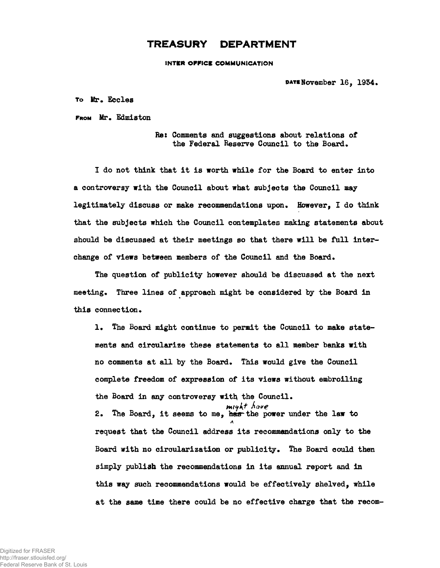## **TREASURY DEPARTMENT**

**INTER OFFICE COMMUNICATION** 

PAT**ENOVember 16, 1934.** 

**To Mr. Eccles**

**FROM Mr. Edmiston**

**Re: Comments and suggestions about relations of the Federal Reserve Council to the Board.**

**I do not think that it is worth while for the Board to enter into a controversy with the Council about what subjects the Council may legitimately discuss or make recommendations upon. Howeverf I do think that the subjects which the Council contemplates making statements about should be discussed at their meetings so that there will be full interchange of views between members of the Council and the Board.**

**The question of publicity however should be discussed at the next meeting\* Three lines of approach might be considered by the Board in this connection.**

**1. The Board might continue to permit the Council to make statements and circularize these statements to all member banks with no comments at all by the Board. This would give the Council complete freedom of expression of its views without embroiling** the Board in any controversy with the Council. **2. The Board, it seems to me, hasrthe power under the law to** A **request that the Council address its recommendations only to the** Board with no circularization or publicity. The Board could then **simply publish the recommendations in its annual report and in this way such recommendations would be effectively shelved, while at the same time there could be no effective charge that the recom-**